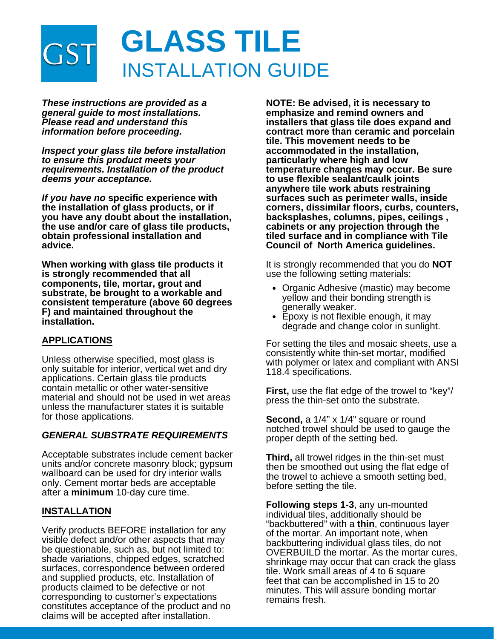

*These instructions are provided as a general guide to most installations. Please read and understand this information before proceeding.*

*Inspect your glass tile before installation to ensure this product meets your requirements. Installation of the product deems your acceptance.*

*If you have no* **specific experience with the installation of glass products, or if you have any doubt about the installation, the use and/or care of glass tile products, obtain professional installation and advice.**

**When working with glass tile products it is strongly recommended that all components, tile, mortar, grout and substrate, be brought to a workable and consistent temperature (above 60 degrees F) and maintained throughout the installation.**

#### **APPLICATIONS**

Unless otherwise specified, most glass is only suitable for interior, vertical wet and dry applications. Certain glass tile products contain metallic or other water-sensitive material and should not be used in wet areas unless the manufacturer states it is suitable for those applications.

#### *GENERAL SUBSTRATE REQUIREMENTS*

Acceptable substrates include cement backer units and/or concrete masonry block; gypsum wallboard can be used for dry interior walls only. Cement mortar beds are acceptable after a **minimum** 10-day cure time.

#### **INSTALLATION**

Verify products BEFORE installation for any visible defect and/or other aspects that may be questionable, such as, but not limited to: shade variations, chipped edges, scratched surfaces, correspondence between ordered and supplied products, etc. Installation of products claimed to be defective or not corresponding to customer's expectations constitutes acceptance of the product and no claims will be accepted after installation.

**NOTE: Be advised, it is necessary to emphasize and remind owners and installers that glass tile does expand and contract more than ceramic and porcelain tile. This movement needs to be accommodated in the installation, particularly where high and low temperature changes may occur. Be sure to use flexible sealant/caulk joints anywhere tile work abuts restraining surfaces such as perimeter walls, inside corners, dissimilar floors, curbs, counters, backsplashes, columns, pipes, ceilings , cabinets or any projection through the tiled surface and in compliance with Tile Council of North America guidelines.**

It is strongly recommended that you do **NOT** use the following setting materials:

- Organic Adhesive (mastic) may become yellow and their bonding strength is generally weaker.
- Epoxy is not flexible enough, it may degrade and change color in sunlight.

For setting the tiles and mosaic sheets, use a consistently white thin-set mortar, modified with polymer or latex and compliant with ANSI 118.4 specifications.

**First,** use the flat edge of the trowel to "key"/ press the thin-set onto the substrate.

**Second,** a 1/4" x 1/4" square or round notched trowel should be used to gauge the proper depth of the setting bed.

**Third,** all trowel ridges in the thin-set must then be smoothed out using the flat edge of the trowel to achieve a smooth setting bed, before setting the tile.

**Following steps 1-3**, any un-mounted individual tiles, additionally should be "backbuttered" with a **thin**, continuous layer of the mortar. An important note, when backbuttering individual glass tiles, do not OVERBUILD the mortar. As the mortar cures, shrinkage may occur that can crack the glass tile. Work small areas of 4 to 6 square feet that can be accomplished in 15 to 20 minutes. This will assure bonding mortar remains fresh.